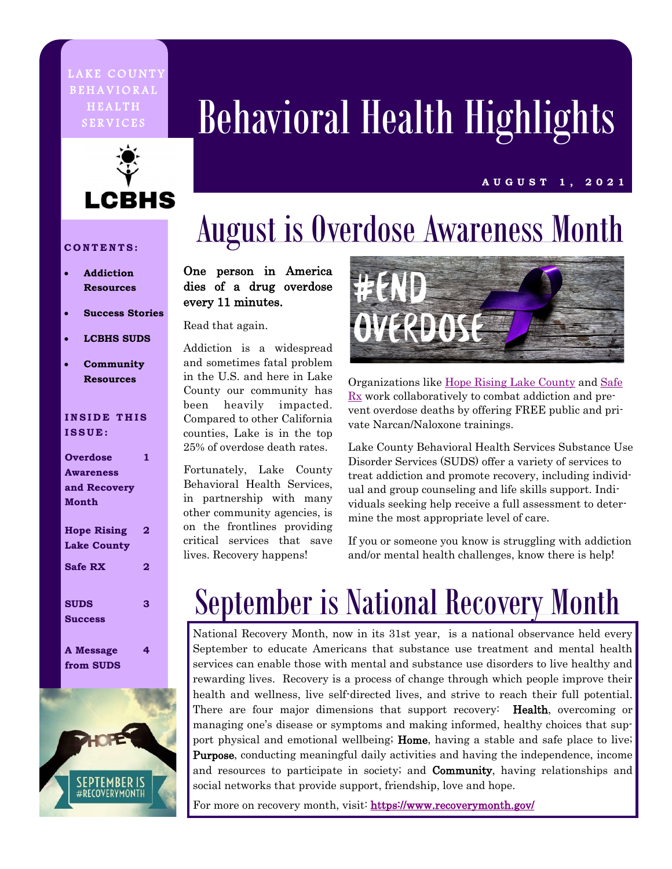### LAKE COUNTY **BEHAVIORAL HEALTH**



# SERVICES Behavioral Health Highlights

#### **A U G U S T 1 , 2 0 2 1**

## August is Overdose Awareness Month

#### **CONTENTS:**

- **Addiction Resources**
- **Success Stories**
- **LCBHS SUDS**
- **Community Resources**

#### **INSIDE THIS ISSUE:**

### **Overdose Awareness and Recovery Month 1 Hope Rising Lake County 2 Safe RX 2 SUDS Success 3 A Message 4**

**from SUDS** 



### One person in America dies of a drug overdose every 11 minutes.

Read that again.

Addiction is a widespread and sometimes fatal problem in the U.S. and here in Lake County our community has been heavily impacted. Compared to other California counties, Lake is in the top 25% of overdose death rates.

Fortunately, Lake County Behavioral Health Services, in partnership with many other community agencies, is on the frontlines providing critical services that save lives. Recovery happens!



Organizations like [Hope Rising Lake County](http://www.hoperisinglc.org/) and [Safe](http://www.hoperisinglc.org/tiles/index/display?alias=SafeRX)  [Rx](http://www.hoperisinglc.org/tiles/index/display?alias=SafeRX) work collaboratively to combat addiction and prevent overdose deaths by offering FREE public and private Narcan/Naloxone trainings.

Lake County Behavioral Health Services Substance Use Disorder Services (SUDS) offer a variety of services to treat addiction and promote recovery, including individual and group counseling and life skills support. Individuals seeking help receive a full assessment to determine the most appropriate level of care.

If you or someone you know is struggling with addiction and/or mental health challenges, know there is help!

## September is National Recovery Month

National Recovery Month, now in its 31st year, is a national observance held every September to educate Americans that substance use treatment and mental health services can enable those with mental and substance use disorders to live healthy and rewarding lives. Recovery is a process of change through which people improve their health and wellness, live self-directed lives, and strive to reach their full potential. There are four major dimensions that support recovery: **Health**, overcoming or managing one's disease or symptoms and making informed, healthy choices that support physical and emotional wellbeing; Home, having a stable and safe place to live; Purpose, conducting meaningful daily activities and having the independence, income and resources to participate in society; and **Community**, having relationships and social networks that provide support, friendship, love and hope.

For more on recovery month, visit: <https://www.recoverymonth.gov/>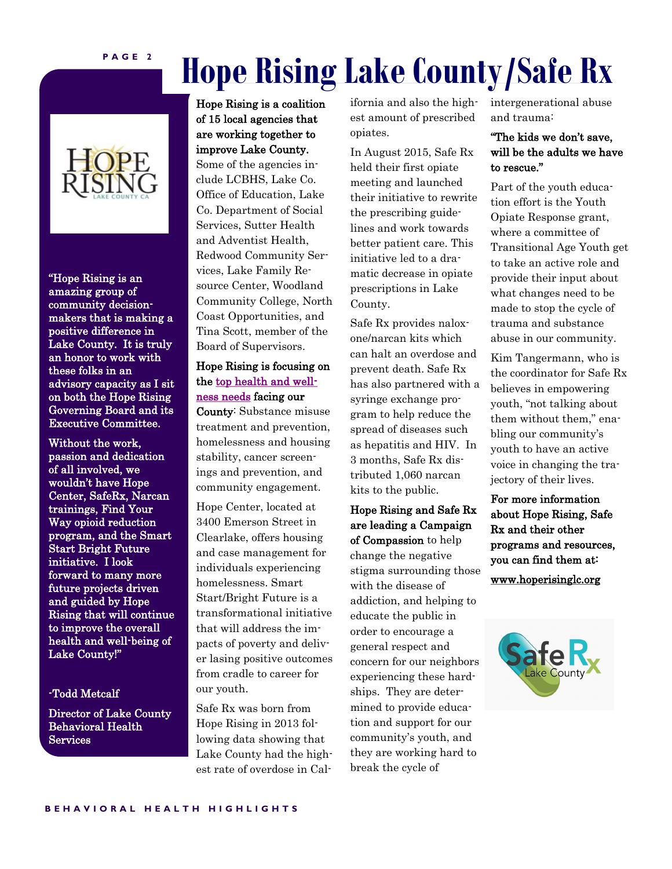### **Hope Rising Lake County/Safe Rx**



"Hope Rising is an amazing group of community decisionmakers that is making a positive difference in Lake County. It is truly an honor to work with these folks in an advisory capacity as I sit on both the Hope Rising Governing Board and its Executive Committee.

Without the work, passion and dedication of all involved, we wouldn't have Hope Center, SafeRx, Narcan trainings, Find Your Way opioid reduction program, and the Smart Start Bright Future initiative. I look forward to many more future projects driven and guided by Hope Rising that will continue to improve the overall health and well-being of Lake County!"

#### -Todd Metcalf

Director of Lake County Behavioral Health Services

Hope Rising is a coalition of 15 local agencies that are working together to improve Lake County. Some of the agencies include LCBHS, Lake Co. Office of Education, Lake Co. Department of Social Services, Sutter Health and Adventist Health, Redwood Community Services, Lake Family Resource Center, Woodland Community College, North Coast Opportunities, and Tina Scott, member of the Board of Supervisors.

### Hope Rising is focusing on the [top health and well](http://www.hoperisinglc.org/tiles/index/display?id=200426747104935311)[ness needs](http://www.hoperisinglc.org/tiles/index/display?id=200426747104935311) facing our

County: Substance misuse treatment and prevention, homelessness and housing stability, cancer screenings and prevention, and community engagement.

Hope Center, located at 3400 Emerson Street in Clearlake, offers housing and case management for individuals experiencing homelessness. Smart Start/Bright Future is a transformational initiative that will address the impacts of poverty and deliver lasing positive outcomes from cradle to career for our youth.

Safe Rx was born from Hope Rising in 2013 following data showing that Lake County had the highest rate of overdose in California and also the highest amount of prescribed opiates.

In August 2015, Safe Rx held their first opiate meeting and launched their initiative to rewrite the prescribing guidelines and work towards better patient care. This initiative led to a dramatic decrease in opiate prescriptions in Lake County.

Safe Rx provides naloxone/narcan kits which can halt an overdose and prevent death. Safe Rx has also partnered with a syringe exchange program to help reduce the spread of diseases such as hepatitis and HIV. In 3 months, Safe Rx distributed 1,060 narcan kits to the public.

Hope Rising and Safe Rx are leading a Campaign of Compassion to help change the negative stigma surrounding those with the disease of addiction, and helping to educate the public in order to encourage a general respect and concern for our neighbors experiencing these hardships. They are determined to provide education and support for our community's youth, and they are working hard to break the cycle of

intergenerational abuse and trauma:

### "The kids we don't save, will be the adults we have to rescue."

Part of the youth education effort is the Youth Opiate Response grant, where a committee of Transitional Age Youth get to take an active role and provide their input about what changes need to be made to stop the cycle of trauma and substance abuse in our community.

Kim Tangermann, who is the coordinator for Safe Rx believes in empowering youth, "not talking about them without them," enabling our community's youth to have an active voice in changing the trajectory of their lives.

For more information about Hope Rising, Safe Rx and their other programs and resources, you can find them at: www.hoperisinglc.org

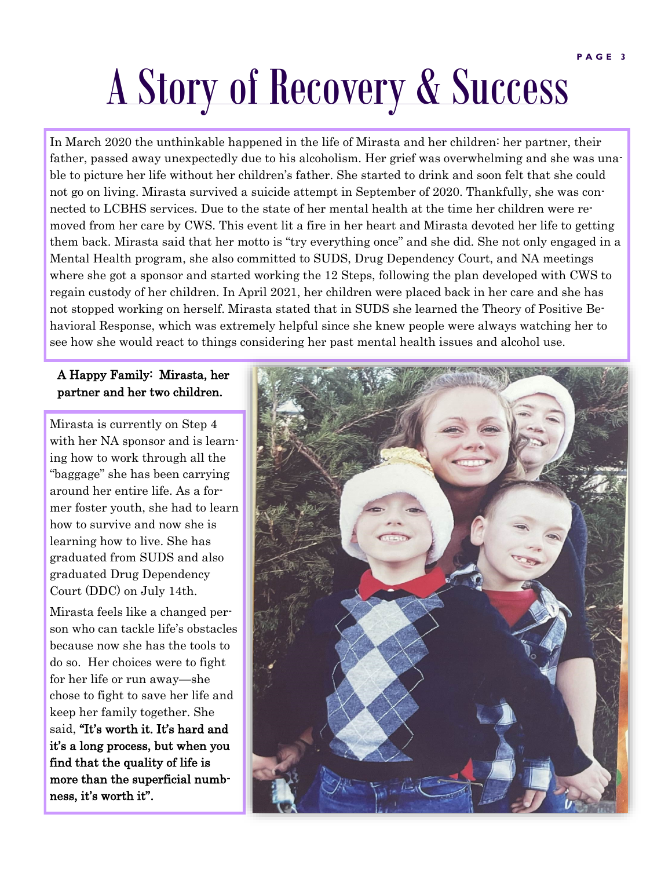# A Story of Recovery & Success

In March 2020 the unthinkable happened in the life of Mirasta and her children: her partner, their father, passed away unexpectedly due to his alcoholism. Her grief was overwhelming and she was unable to picture her life without her children's father. She started to drink and soon felt that she could not go on living. Mirasta survived a suicide attempt in September of 2020. Thankfully, she was connected to LCBHS services. Due to the state of her mental health at the time her children were removed from her care by CWS. This event lit a fire in her heart and Mirasta devoted her life to getting them back. Mirasta said that her motto is "try everything once" and she did. She not only engaged in a Mental Health program, she also committed to SUDS, Drug Dependency Court, and NA meetings where she got a sponsor and started working the 12 Steps, following the plan developed with CWS to regain custody of her children. In April 2021, her children were placed back in her care and she has not stopped working on herself. Mirasta stated that in SUDS she learned the Theory of Positive Behavioral Response, which was extremely helpful since she knew people were always watching her to see how she would react to things considering her past mental health issues and alcohol use.

### A Happy Family: Mirasta, her partner and her two children.

Mirasta is currently on Step 4 with her NA sponsor and is learning how to work through all the "baggage" she has been carrying around her entire life. As a former foster youth, she had to learn how to survive and now she is learning how to live. She has graduated from SUDS and also graduated Drug Dependency Court (DDC) on July 14th.

Mirasta feels like a changed person who can tackle life's obstacles because now she has the tools to do so. Her choices were to fight for her life or run away—she chose to fight to save her life and keep her family together. She said, "It's worth it. It's hard and it's a long process, but when you find that the quality of life is more than the superficial numbness, it's worth it".